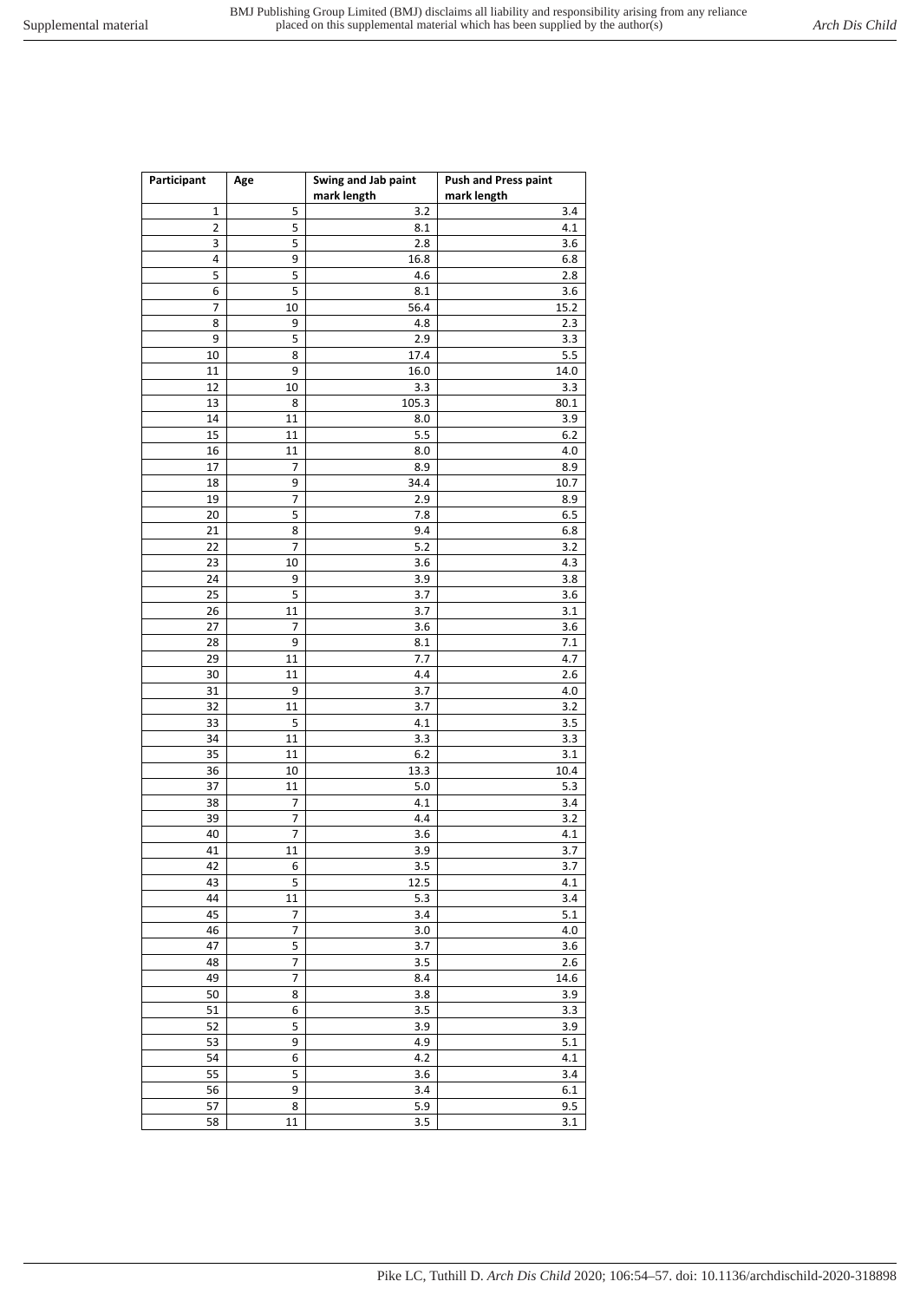| Participant | Age            | Swing and Jab paint<br>mark length | <b>Push and Press paint</b><br>mark length |
|-------------|----------------|------------------------------------|--------------------------------------------|
| 1           | 5              | 3.2                                | 3.4                                        |
| 2           | 5              | 8.1                                | 4.1                                        |
| 3           | 5              | 2.8                                | 3.6                                        |
| 4           | 9              | 16.8                               | 6.8                                        |
|             |                |                                    |                                            |
| 5           | 5              | 4.6                                | 2.8                                        |
| 6           | 5              | 8.1                                | 3.6                                        |
| 7           | 10             | 56.4                               | 15.2                                       |
| 8           | 9              | 4.8                                | 2.3                                        |
| 9           | 5              | 2.9                                | 3.3                                        |
| 10          | 8              | 17.4                               | 5.5                                        |
| 11          | 9              | 16.0                               | 14.0                                       |
| 12          | 10             | 3.3                                | 3.3                                        |
| 13          | 8              | 105.3                              | 80.1                                       |
| 14          | 11             | 8.0                                | 3.9                                        |
| 15          | 11             | 5.5                                | 6.2                                        |
| 16          | 11             | 8.0                                | 4.0                                        |
| 17          | 7              | 8.9                                | 8.9                                        |
| 18          | 9              | 34.4                               | 10.7                                       |
| 19          | 7              | 2.9                                | 8.9                                        |
| 20          | 5              | 7.8                                | 6.5                                        |
| 21          | 8              | 9.4                                | 6.8                                        |
| 22          | $\overline{7}$ | 5.2                                | 3.2                                        |
|             |                |                                    |                                            |
| 23          | 10             | 3.6                                | 4.3                                        |
| 24          | 9              | 3.9                                | 3.8                                        |
| 25          | 5              | 3.7                                | 3.6                                        |
| 26          | 11             | 3.7                                | 3.1                                        |
| 27          | 7              | 3.6                                | 3.6                                        |
| 28          | 9              | 8.1                                | 7.1                                        |
| 29          | 11             | 7.7                                | 4.7                                        |
| 30          | 11             | 4.4                                | 2.6                                        |
| 31          | 9              | 3.7                                | 4.0                                        |
| 32          | 11             | 3.7                                | 3.2                                        |
| 33          | 5              | 4.1                                | 3.5                                        |
| 34          | 11             | 3.3                                | 3.3                                        |
| 35          | 11             | $6.2\,$                            | 3.1                                        |
| 36          | 10             | 13.3                               | 10.4                                       |
| 37          | 11             | $5.0$                              | 5.3                                        |
| 38          | 7              | $4.1\,$                            | 3.4                                        |
| 39          | 7              | 4.4                                | 3.2                                        |
| 40          | 7              | 3.6                                | 4.1                                        |
| 41          | 11             | 3.9                                | 3.7                                        |
| 42          | 6              | 3.5                                | 3.7                                        |
| 43          | 5              | 12.5                               | 4.1                                        |
| 44          | $11\,$         | 5.3                                | 3.4                                        |
|             |                |                                    |                                            |
| 45          | 7              | 3.4                                | 5.1                                        |
| 46          | 7              | 3.0                                | $4.0$                                      |
| 47          | 5              | 3.7                                | 3.6                                        |
| 48          | 7              | 3.5                                | 2.6                                        |
| 49          | 7              | 8.4                                | 14.6                                       |
| 50          | 8              | 3.8                                | 3.9                                        |
| 51          | $\overline{6}$ | 3.5                                | 3.3                                        |
| 52          | 5              | 3.9                                | 3.9                                        |
| 53          | 9              | 4.9                                | 5.1                                        |
| 54          | 6              | 4.2                                | 4.1                                        |
| 55          | 5              | 3.6                                | 3.4                                        |
| 56          | 9              | 3.4                                | $6.1\,$                                    |
| 57          | 8              | 5.9                                | 9.5                                        |
| 58          | 11             | 3.5                                | 3.1                                        |
|             |                |                                    |                                            |